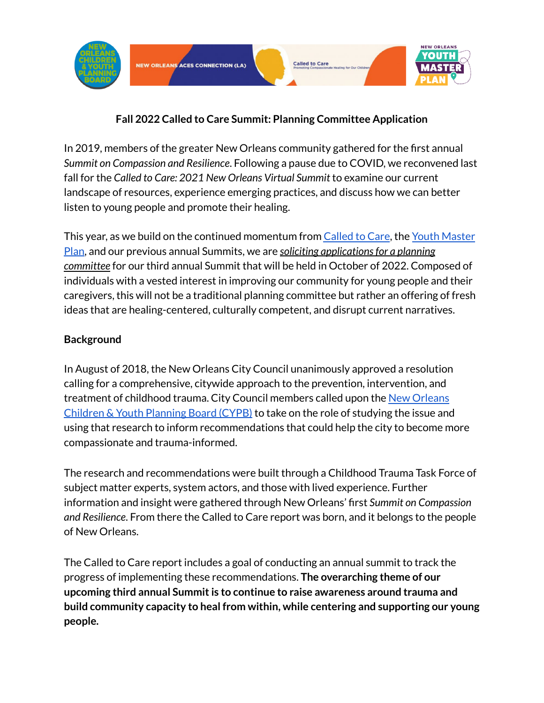

# **Fall 2022 Called to Care Summit: Planning Committee Application**

In 2019, members of the greater New Orleans community gathered for the first annual *Summit on Compassion and Resilience*. Following a pause due to COVID, we reconvened last fall for the *Called to Care: 2021 New Orleans Virtual Summit* to examine our current landscape of resources, experience emerging practices, and discuss how we can better listen to young people and promote their healing.

This year, as we build on the continued momentum from [Called](https://www.nolacypb.org/called-to-care) to Care, the Youth [Master](https://nolayouthmasterplan.org/) [Plan](https://nolayouthmasterplan.org/), and our previous annual Summits, we are *soliciting applicationsfor a planning committee* for our third annual Summit that will be held in October of 2022. Composed of individuals with a vested interest in improving our community for young people and their caregivers, this will not be a traditional planning committee but rather an offering of fresh ideas that are healing-centered, culturally competent, and disrupt current narratives.

#### **Background**

In August of 2018, the New Orleans City Council unanimously approved a resolution calling for a comprehensive, citywide approach to the prevention, intervention, and treatment of childhood trauma. City Council members called upon the New [Orleans](http://nolacypb.org) Children & Youth [Planning](http://nolacypb.org) Board (CYPB) to take on the role of studying the issue and using that research to inform recommendations that could help the city to become more compassionate and trauma-informed.

The research and recommendations were built through a Childhood Trauma Task Force of subject matter experts, system actors, and those with lived experience. Further information and insight were gathered through New Orleans' first *Summit on Compassion and Resilience*. From there the Called to Care report was born, and it belongs to the people of New Orleans.

The Called to Care report includes a goal of conducting an annual summit to track the progress of implementing these recommendations. **The overarching theme of our upcoming third annual Summitis to continue to raise awareness around trauma and build community capacity to heal from within, while centering and supporting our young people.**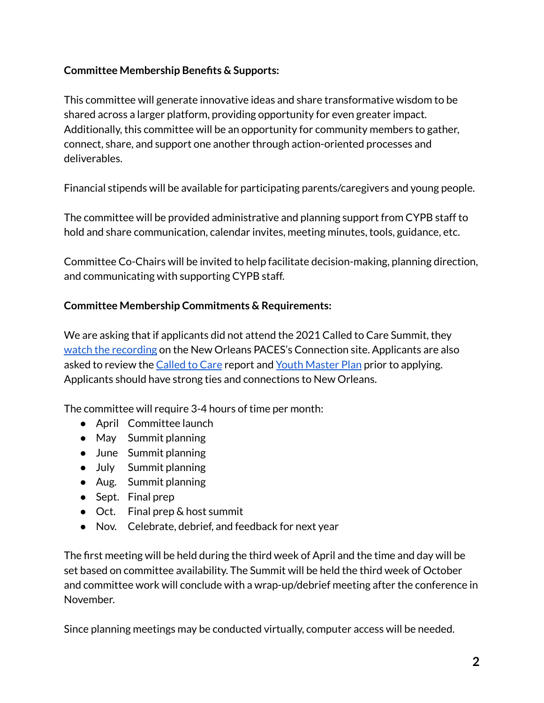#### **Committee Membership Benefits & Supports:**

This committee will generate innovative ideas and share transformative wisdom to be shared across a larger platform, providing opportunity for even greater impact. Additionally, this committee will be an opportunity for community members to gather, connect, share, and support one another through action-oriented processes and deliverables.

Financial stipends will be available for participating parents/caregivers and young people.

The committee will be provided administrative and planning support from CYPB staff to hold and share communication, calendar invites, meeting minutes, tools, guidance, etc.

Committee Co-Chairs will be invited to help facilitate decision-making, planning direction, and communicating with supporting CYPB staff.

### **Committee Membership Commitments & Requirements:**

We are asking that if applicants did not attend the 2021 Called to Care Summit, they watch the [recording](https://www.pacesconnection.com/g/new-orleans-aces-connection-la/blog/recording-and-materials-from-called-to-care-2021-new-orleans-virtual-summit) on the New Orleans PACES's Connection site. Applicants are also asked to review the [Called](https://www.nolacypb.org/called-to-care) to Care report and Youth [Master](https://nolayouthmasterplan.org/) Plan prior to applying. Applicants should have strong ties and connections to New Orleans.

The committee will require 3-4 hours of time per month:

- April Committee launch
- May Summit planning
- June Summit planning
- July Summit planning
- Aug. Summit planning
- Sept. Final prep
- Oct. Final prep & host summit
- Nov. Celebrate, debrief, and feedback for next year

The first meeting will be held during the third week of April and the time and day will be set based on committee availability. The Summit will be held the third week of October and committee work will conclude with a wrap-up/debrief meeting after the conference in November.

Since planning meetings may be conducted virtually, computer access will be needed.